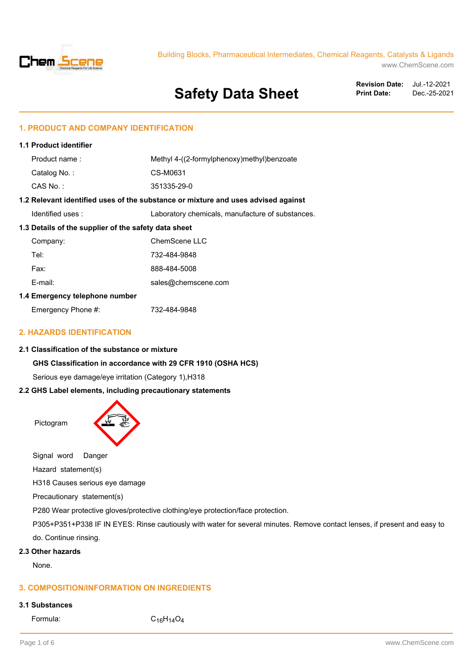

www.ChemScene.com

# **Safety Data Sheet**

**Revision Date:** Jul.-12-2021 **Print Date:** Dec.-25-2021

# **1. PRODUCT AND COMPANY IDENTIFICATION**

| 1.1 Product identifier                                                            |                    |                                                  |  |  |
|-----------------------------------------------------------------------------------|--------------------|--------------------------------------------------|--|--|
|                                                                                   | Product name:      | Methyl 4-((2-formylphenoxy)methyl)benzoate       |  |  |
|                                                                                   | Catalog No.:       | CS-M0631                                         |  |  |
|                                                                                   | $CAS No.$ :        | 351335-29-0                                      |  |  |
| 1.2 Relevant identified uses of the substance or mixture and uses advised against |                    |                                                  |  |  |
|                                                                                   | ldentified uses :  | Laboratory chemicals, manufacture of substances. |  |  |
| 1.3 Details of the supplier of the safety data sheet                              |                    |                                                  |  |  |
|                                                                                   | Company:           | ChemScene LLC                                    |  |  |
|                                                                                   | Tel:               | 732-484-9848                                     |  |  |
|                                                                                   | Fax:               | 888-484-5008                                     |  |  |
|                                                                                   | E-mail:            | sales@chemscene.com                              |  |  |
| 1.4 Emergency telephone number                                                    |                    |                                                  |  |  |
|                                                                                   | Emergency Phone #: | 732-484-9848                                     |  |  |

## **2. HAZARDS IDENTIFICATION**

#### **2.1 Classification of the substance or mixture**

#### **GHS Classification in accordance with 29 CFR 1910 (OSHA HCS)**

Serious eye damage/eye irritation (Category 1),H318

### **2.2 GHS Label elements, including precautionary statements**



Signal word Danger

Hazard statement(s)

H318 Causes serious eye damage

Precautionary statement(s)

P280 Wear protective gloves/protective clothing/eye protection/face protection.

P305+P351+P338 IF IN EYES: Rinse cautiously with water for several minutes. Remove contact lenses, if present and easy to do. Continue rinsing.

## **2.3 Other hazards**

None.

# **3. COMPOSITION/INFORMATION ON INGREDIENTS**

#### **3.1 Substances**

Formula: C<sub>16</sub>H<sub>14</sub>O<sub>4</sub>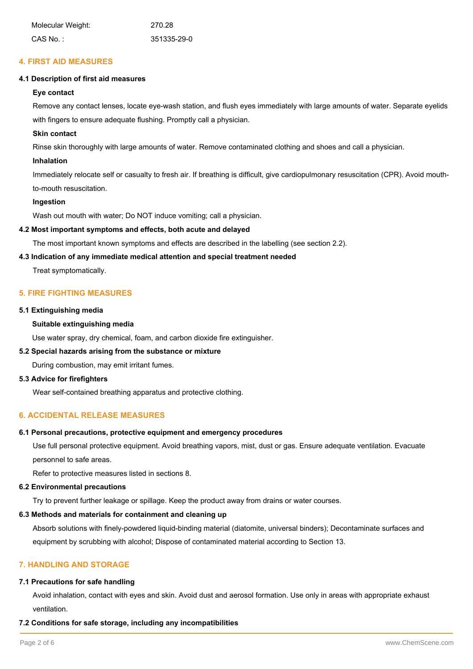| Molecular Weight: | 270.28      |
|-------------------|-------------|
| CAS No.:          | 351335-29-0 |

## **4. FIRST AID MEASURES**

#### **4.1 Description of first aid measures**

#### **Eye contact**

Remove any contact lenses, locate eye-wash station, and flush eyes immediately with large amounts of water. Separate eyelids with fingers to ensure adequate flushing. Promptly call a physician.

#### **Skin contact**

Rinse skin thoroughly with large amounts of water. Remove contaminated clothing and shoes and call a physician.

#### **Inhalation**

Immediately relocate self or casualty to fresh air. If breathing is difficult, give cardiopulmonary resuscitation (CPR). Avoid mouthto-mouth resuscitation.

#### **Ingestion**

Wash out mouth with water; Do NOT induce vomiting; call a physician.

#### **4.2 Most important symptoms and effects, both acute and delayed**

The most important known symptoms and effects are described in the labelling (see section 2.2).

## **4.3 Indication of any immediate medical attention and special treatment needed**

Treat symptomatically.

# **5. FIRE FIGHTING MEASURES**

#### **5.1 Extinguishing media**

#### **Suitable extinguishing media**

Use water spray, dry chemical, foam, and carbon dioxide fire extinguisher.

#### **5.2 Special hazards arising from the substance or mixture**

During combustion, may emit irritant fumes.

#### **5.3 Advice for firefighters**

Wear self-contained breathing apparatus and protective clothing.

#### **6. ACCIDENTAL RELEASE MEASURES**

## **6.1 Personal precautions, protective equipment and emergency procedures**

Use full personal protective equipment. Avoid breathing vapors, mist, dust or gas. Ensure adequate ventilation. Evacuate personnel to safe areas.

Refer to protective measures listed in sections 8.

#### **6.2 Environmental precautions**

Try to prevent further leakage or spillage. Keep the product away from drains or water courses.

#### **6.3 Methods and materials for containment and cleaning up**

Absorb solutions with finely-powdered liquid-binding material (diatomite, universal binders); Decontaminate surfaces and equipment by scrubbing with alcohol; Dispose of contaminated material according to Section 13.

#### **7. HANDLING AND STORAGE**

#### **7.1 Precautions for safe handling**

Avoid inhalation, contact with eyes and skin. Avoid dust and aerosol formation. Use only in areas with appropriate exhaust ventilation.

#### **7.2 Conditions for safe storage, including any incompatibilities**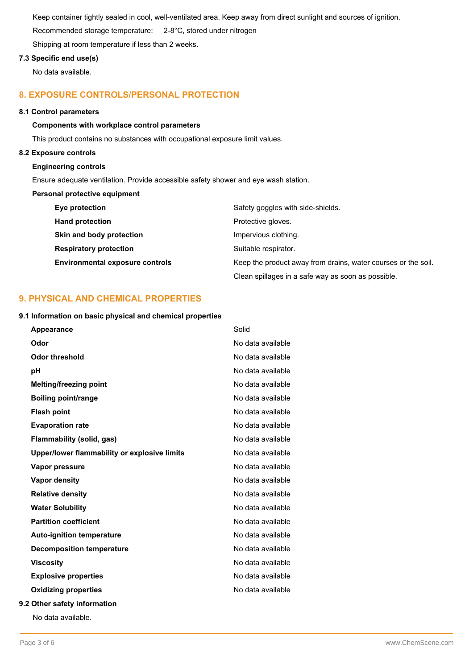Keep container tightly sealed in cool, well-ventilated area. Keep away from direct sunlight and sources of ignition. Recommended storage temperature: 2-8°C, stored under nitrogen

Shipping at room temperature if less than 2 weeks.

# **7.3 Specific end use(s)**

No data available.

# **8. EXPOSURE CONTROLS/PERSONAL PROTECTION**

## **8.1 Control parameters**

#### **Components with workplace control parameters**

This product contains no substances with occupational exposure limit values.

# **8.2 Exposure controls**

#### **Engineering controls**

Ensure adequate ventilation. Provide accessible safety shower and eye wash station.

#### **Personal protective equipment**

| Eye protection                         | Safety goggles with side-shields.                             |
|----------------------------------------|---------------------------------------------------------------|
| <b>Hand protection</b>                 | Protective gloves.                                            |
| Skin and body protection               | Impervious clothing.                                          |
| <b>Respiratory protection</b>          | Suitable respirator.                                          |
| <b>Environmental exposure controls</b> | Keep the product away from drains, water courses or the soil. |
|                                        | Clean spillages in a safe way as soon as possible.            |

# **9. PHYSICAL AND CHEMICAL PROPERTIES**

#### **9.1 Information on basic physical and chemical properties**

| Appearance                                   | Solid             |
|----------------------------------------------|-------------------|
| Odor                                         | No data available |
| <b>Odor threshold</b>                        | No data available |
| рH                                           | No data available |
| <b>Melting/freezing point</b>                | No data available |
| <b>Boiling point/range</b>                   | No data available |
| <b>Flash point</b>                           | No data available |
| <b>Evaporation rate</b>                      | No data available |
| Flammability (solid, gas)                    | No data available |
| Upper/lower flammability or explosive limits | No data available |
| Vapor pressure                               | No data available |
| Vapor density                                | No data available |
| <b>Relative density</b>                      | No data available |
| <b>Water Solubility</b>                      | No data available |
| <b>Partition coefficient</b>                 | No data available |
| <b>Auto-ignition temperature</b>             | No data available |
| <b>Decomposition temperature</b>             | No data available |
| <b>Viscosity</b>                             | No data available |
| <b>Explosive properties</b>                  | No data available |
| <b>Oxidizing properties</b>                  | No data available |
| 9.2 Other safety information                 |                   |

No data available.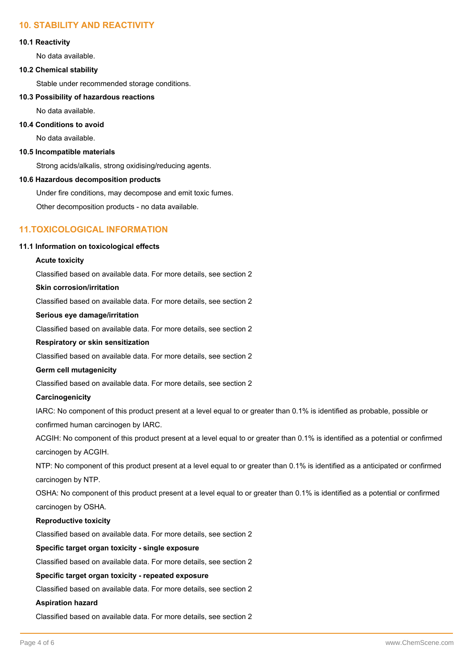# **10. STABILITY AND REACTIVITY**

#### **10.1 Reactivity**

No data available.

# **10.2 Chemical stability**

Stable under recommended storage conditions.

## **10.3 Possibility of hazardous reactions**

No data available.

#### **10.4 Conditions to avoid**

No data available.

# **10.5 Incompatible materials**

Strong acids/alkalis, strong oxidising/reducing agents.

#### **10.6 Hazardous decomposition products**

Under fire conditions, may decompose and emit toxic fumes.

Other decomposition products - no data available.

# **11.TOXICOLOGICAL INFORMATION**

#### **11.1 Information on toxicological effects**

#### **Acute toxicity**

Classified based on available data. For more details, see section 2

#### **Skin corrosion/irritation**

Classified based on available data. For more details, see section 2

#### **Serious eye damage/irritation**

Classified based on available data. For more details, see section 2

#### **Respiratory or skin sensitization**

Classified based on available data. For more details, see section 2

# **Germ cell mutagenicity**

Classified based on available data. For more details, see section 2

# **Carcinogenicity**

IARC: No component of this product present at a level equal to or greater than 0.1% is identified as probable, possible or confirmed human carcinogen by IARC.

ACGIH: No component of this product present at a level equal to or greater than 0.1% is identified as a potential or confirmed carcinogen by ACGIH.

NTP: No component of this product present at a level equal to or greater than 0.1% is identified as a anticipated or confirmed carcinogen by NTP.

OSHA: No component of this product present at a level equal to or greater than 0.1% is identified as a potential or confirmed carcinogen by OSHA.

#### **Reproductive toxicity**

Classified based on available data. For more details, see section 2

#### **Specific target organ toxicity - single exposure**

Classified based on available data. For more details, see section 2

#### **Specific target organ toxicity - repeated exposure**

Classified based on available data. For more details, see section 2

#### **Aspiration hazard**

Classified based on available data. For more details, see section 2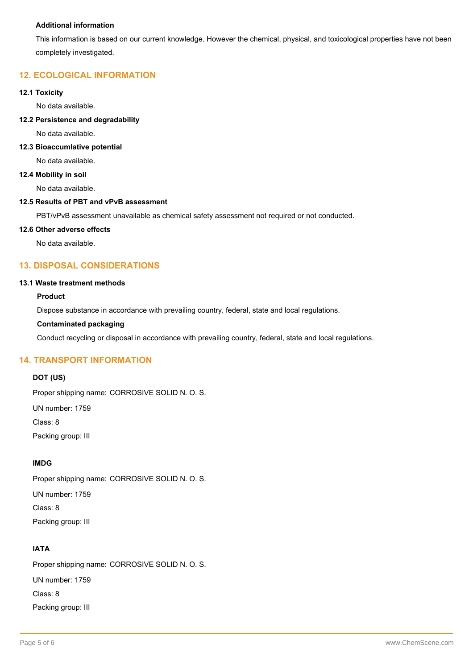# **Additional information**

This information is based on our current knowledge. However the chemical, physical, and toxicological properties have not been completely investigated.

# **12. ECOLOGICAL INFORMATION**

### **12.1 Toxicity**

No data available.

# **12.2 Persistence and degradability**

No data available.

#### **12.3 Bioaccumlative potential**

No data available.

## **12.4 Mobility in soil**

No data available.

## **12.5 Results of PBT and vPvB assessment**

PBT/vPvB assessment unavailable as chemical safety assessment not required or not conducted.

## **12.6 Other adverse effects**

No data available.

# **13. DISPOSAL CONSIDERATIONS**

#### **13.1 Waste treatment methods**

#### **Product**

Dispose substance in accordance with prevailing country, federal, state and local regulations.

#### **Contaminated packaging**

Conduct recycling or disposal in accordance with prevailing country, federal, state and local regulations.

# **14. TRANSPORT INFORMATION**

## **DOT (US)**

Proper shipping name: CORROSIVE SOLID N. O. S.

UN number: 1759

Class: 8

Packing group: III

#### **IMDG**

Proper shipping name: CORROSIVE SOLID N. O. S.

UN number: 1759

Class: 8

Packing group: III

# **IATA**

Proper shipping name: CORROSIVE SOLID N. O. S.

UN number: 1759

Class: 8

Packing group: III